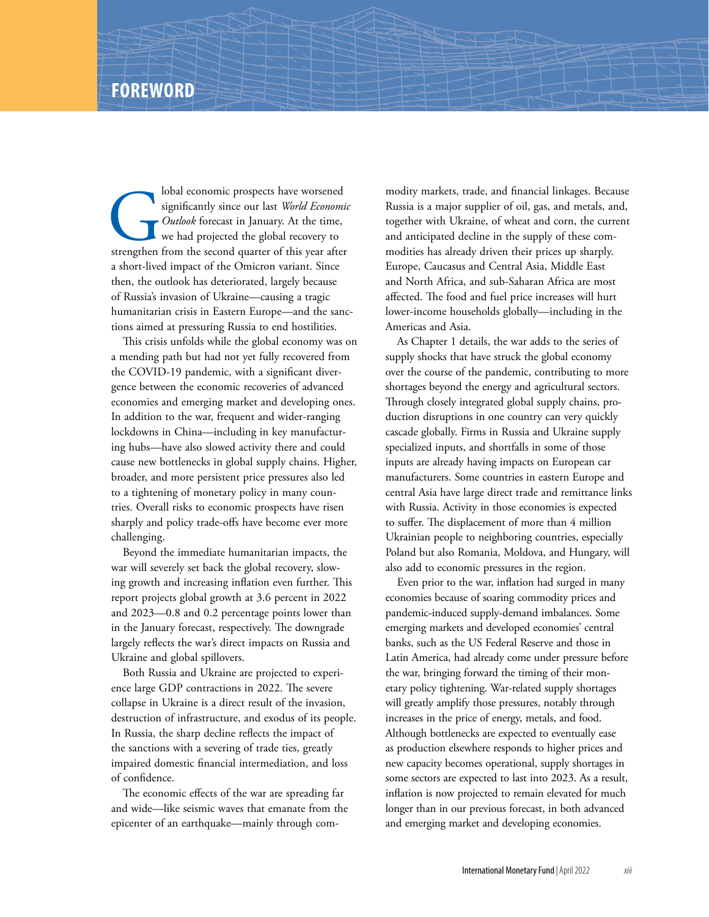Iobal economic prospects have worsened<br>
significantly since our last *World Economic*<br>
Outlook forecast in January. At the time,<br>
we had projected the global recovery to<br>
strengthen from the second quarter of this year aft significantly since our last *World Economic Outlook* forecast in January. At the time, we had projected the global recovery to a short-lived impact of the Omicron variant. Since then, the outlook has deteriorated, largely because of Russia's invasion of Ukraine—causing a tragic humanitarian crisis in Eastern Europe—and the sanctions aimed at pressuring Russia to end hostilities.

This crisis unfolds while the global economy was on a mending path but had not yet fully recovered from the COVID-19 pandemic, with a significant divergence between the economic recoveries of advanced economies and emerging market and developing ones. In addition to the war, frequent and wider-ranging lockdowns in China—including in key manufacturing hubs—have also slowed activity there and could cause new bottlenecks in global supply chains. Higher, broader, and more persistent price pressures also led to a tightening of monetary policy in many countries. Overall risks to economic prospects have risen sharply and policy trade-offs have become ever more challenging.

Beyond the immediate humanitarian impacts, the war will severely set back the global recovery, slowing growth and increasing inflation even further. This report projects global growth at 3.6 percent in 2022 and 2023—0.8 and 0.2 percentage points lower than in the January forecast, respectively. The downgrade largely reflects the war's direct impacts on Russia and Ukraine and global spillovers.

Both Russia and Ukraine are projected to experience large GDP contractions in 2022. The severe collapse in Ukraine is a direct result of the invasion, destruction of infrastructure, and exodus of its people. In Russia, the sharp decline reflects the impact of the sanctions with a severing of trade ties, greatly impaired domestic financial intermediation, and loss of confidence.

The economic effects of the war are spreading far and wide—like seismic waves that emanate from the epicenter of an earthquake—mainly through commodity markets, trade, and financial linkages. Because Russia is a major supplier of oil, gas, and metals, and, together with Ukraine, of wheat and corn, the current and anticipated decline in the supply of these commodities has already driven their prices up sharply. Europe, Caucasus and Central Asia, Middle East and North Africa, and sub-Saharan Africa are most affected. The food and fuel price increases will hurt lower-income households globally—including in the Americas and Asia.

As Chapter 1 details, the war adds to the series of supply shocks that have struck the global economy over the course of the pandemic, contributing to more shortages beyond the energy and agricultural sectors. Through closely integrated global supply chains, production disruptions in one country can very quickly cascade globally. Firms in Russia and Ukraine supply specialized inputs, and shortfalls in some of those inputs are already having impacts on European car manufacturers. Some countries in eastern Europe and central Asia have large direct trade and remittance links with Russia. Activity in those economies is expected to suffer. The displacement of more than 4 million Ukrainian people to neighboring countries, especially Poland but also Romania, Moldova, and Hungary, will also add to economic pressures in the region.

Even prior to the war, inflation had surged in many economies because of soaring commodity prices and pandemic-induced supply-demand imbalances. Some emerging markets and developed economies' central banks, such as the US Federal Reserve and those in Latin America, had already come under pressure before the war, bringing forward the timing of their monetary policy tightening. War-related supply shortages will greatly amplify those pressures, notably through increases in the price of energy, metals, and food. Although bottlenecks are expected to eventually ease as production elsewhere responds to higher prices and new capacity becomes operational, supply shortages in some sectors are expected to last into 2023. As a result, inflation is now projected to remain elevated for much longer than in our previous forecast, in both advanced and emerging market and developing economies.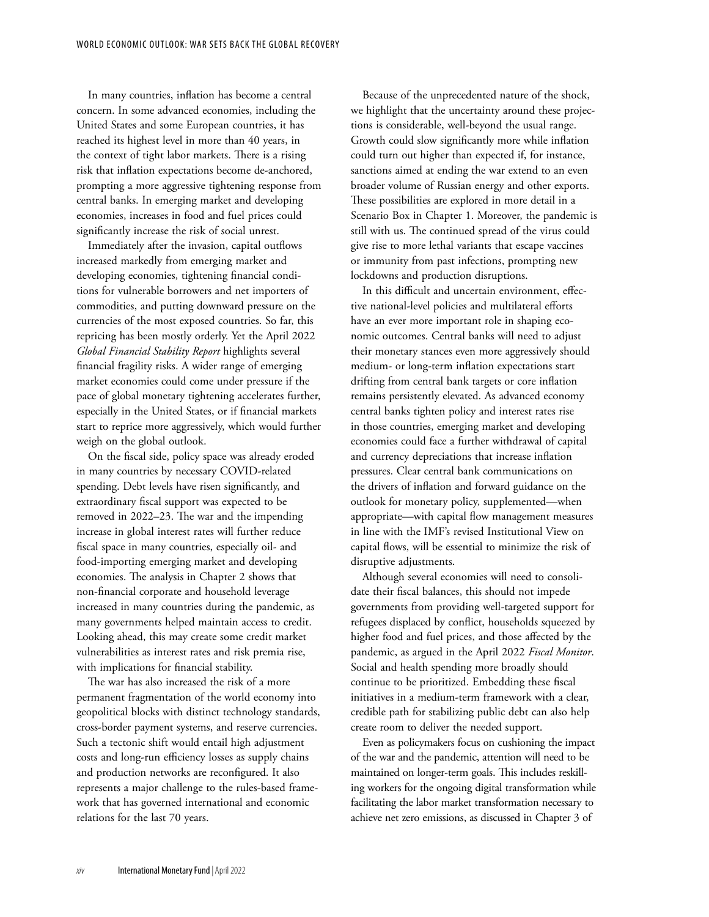In many countries, inflation has become a central concern. In some advanced economies, including the United States and some European countries, it has reached its highest level in more than 40 years, in the context of tight labor markets. There is a rising risk that inflation expectations become de-anchored, prompting a more aggressive tightening response from central banks. In emerging market and developing economies, increases in food and fuel prices could significantly increase the risk of social unrest.

Immediately after the invasion, capital outflows increased markedly from emerging market and developing economies, tightening financial conditions for vulnerable borrowers and net importers of commodities, and putting downward pressure on the currencies of the most exposed countries. So far, this repricing has been mostly orderly. Yet the April 2022 *Global Financial Stability Report* highlights several financial fragility risks. A wider range of emerging market economies could come under pressure if the pace of global monetary tightening accelerates further, especially in the United States, or if financial markets start to reprice more aggressively, which would further weigh on the global outlook.

On the fiscal side, policy space was already eroded in many countries by necessary COVID-related spending. Debt levels have risen significantly, and extraordinary fiscal support was expected to be removed in 2022–23. The war and the impending increase in global interest rates will further reduce fiscal space in many countries, especially oil- and food-importing emerging market and developing economies. The analysis in Chapter 2 shows that non-financial corporate and household leverage increased in many countries during the pandemic, as many governments helped maintain access to credit. Looking ahead, this may create some credit market vulnerabilities as interest rates and risk premia rise, with implications for financial stability.

The war has also increased the risk of a more permanent fragmentation of the world economy into geopolitical blocks with distinct technology standards, cross-border payment systems, and reserve currencies. Such a tectonic shift would entail high adjustment costs and long-run efficiency losses as supply chains and production networks are reconfigured. It also represents a major challenge to the rules-based framework that has governed international and economic relations for the last 70 years.

Because of the unprecedented nature of the shock, we highlight that the uncertainty around these projections is considerable, well-beyond the usual range. Growth could slow significantly more while inflation could turn out higher than expected if, for instance, sanctions aimed at ending the war extend to an even broader volume of Russian energy and other exports. These possibilities are explored in more detail in a Scenario Box in Chapter 1. Moreover, the pandemic is still with us. The continued spread of the virus could give rise to more lethal variants that escape vaccines or immunity from past infections, prompting new lockdowns and production disruptions.

In this difficult and uncertain environment, effective national-level policies and multilateral efforts have an ever more important role in shaping economic outcomes. Central banks will need to adjust their monetary stances even more aggressively should medium- or long-term inflation expectations start drifting from central bank targets or core inflation remains persistently elevated. As advanced economy central banks tighten policy and interest rates rise in those countries, emerging market and developing economies could face a further withdrawal of capital and currency depreciations that increase inflation pressures. Clear central bank communications on the drivers of inflation and forward guidance on the outlook for monetary policy, supplemented—when appropriate—with capital flow management measures in line with the IMF's revised Institutional View on capital flows, will be essential to minimize the risk of disruptive adjustments.

Although several economies will need to consolidate their fiscal balances, this should not impede governments from providing well-targeted support for refugees displaced by conflict, households squeezed by higher food and fuel prices, and those affected by the pandemic, as argued in the April 2022 *Fiscal Monitor*. Social and health spending more broadly should continue to be prioritized. Embedding these fiscal initiatives in a medium-term framework with a clear, credible path for stabilizing public debt can also help create room to deliver the needed support.

Even as policymakers focus on cushioning the impact of the war and the pandemic, attention will need to be maintained on longer-term goals. This includes reskilling workers for the ongoing digital transformation while facilitating the labor market transformation necessary to achieve net zero emissions, as discussed in Chapter 3 of